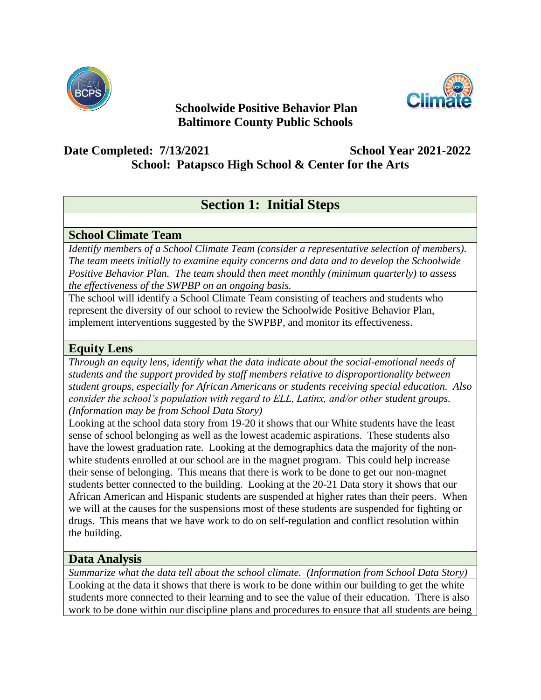

## **Schoolwide Positive Behavior Plan Baltimore County Public Schools**



# **Date Completed: 7/13/2021 School Year 2021-2022 School: Patapsco High School & Center for the Arts**

# **Section 1: Initial Steps**

## **School Climate Team**

*Identify members of a School Climate Team (consider a representative selection of members). The team meets initially to examine equity concerns and data and to develop the Schoolwide Positive Behavior Plan. The team should then meet monthly (minimum quarterly) to assess the effectiveness of the SWPBP on an ongoing basis.*

The school will identify a School Climate Team consisting of teachers and students who represent the diversity of our school to review the Schoolwide Positive Behavior Plan, implement interventions suggested by the SWPBP, and monitor its effectiveness.

### **Equity Lens**

*Through an equity lens, identify what the data indicate about the social-emotional needs of students and the support provided by staff members relative to disproportionality between student groups, especially for African Americans or students receiving special education. Also consider the school's population with regard to ELL, Latinx, and/or other student groups. (Information may be from School Data Story)*

Looking at the school data story from 19-20 it shows that our White students have the least sense of school belonging as well as the lowest academic aspirations. These students also have the lowest graduation rate. Looking at the demographics data the majority of the nonwhite students enrolled at our school are in the magnet program. This could help increase their sense of belonging. This means that there is work to be done to get our non-magnet students better connected to the building. Looking at the 20-21 Data story it shows that our African American and Hispanic students are suspended at higher rates than their peers. When we will at the causes for the suspensions most of these students are suspended for fighting or drugs. This means that we have work to do on self-regulation and conflict resolution within the building.

### **Data Analysis**

*Summarize what the data tell about the school climate. (Information from School Data Story)* Looking at the data it shows that there is work to be done within our building to get the white students more connected to their learning and to see the value of their education. There is also work to be done within our discipline plans and procedures to ensure that all students are being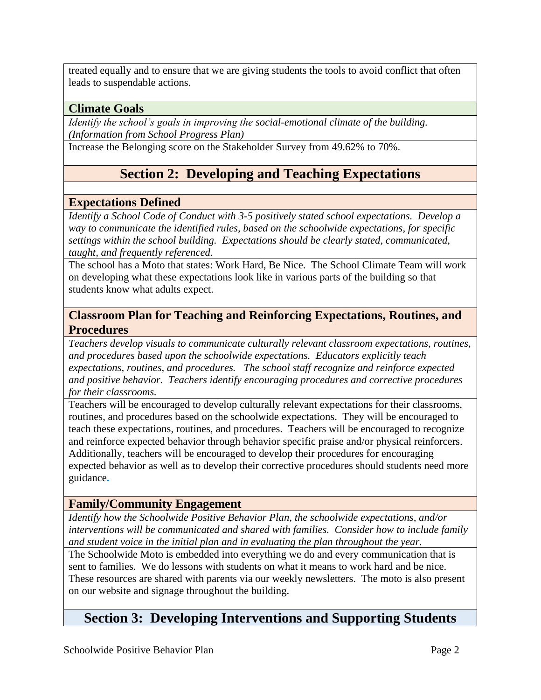treated equally and to ensure that we are giving students the tools to avoid conflict that often leads to suspendable actions.

### **Climate Goals**

*Identify the school's goals in improving the social-emotional climate of the building. (Information from School Progress Plan)*

Increase the Belonging score on the Stakeholder Survey from 49.62% to 70%.

# **Section 2: Developing and Teaching Expectations**

### **Expectations Defined**

*Identify a School Code of Conduct with 3-5 positively stated school expectations. Develop a way to communicate the identified rules, based on the schoolwide expectations, for specific settings within the school building. Expectations should be clearly stated, communicated, taught, and frequently referenced.* 

The school has a Moto that states: Work Hard, Be Nice. The School Climate Team will work on developing what these expectations look like in various parts of the building so that students know what adults expect.

## **Classroom Plan for Teaching and Reinforcing Expectations, Routines, and Procedures**

*Teachers develop visuals to communicate culturally relevant classroom expectations, routines, and procedures based upon the schoolwide expectations. Educators explicitly teach expectations, routines, and procedures. The school staff recognize and reinforce expected and positive behavior. Teachers identify encouraging procedures and corrective procedures for their classrooms.* 

Teachers will be encouraged to develop culturally relevant expectations for their classrooms, routines, and procedures based on the schoolwide expectations. They will be encouraged to teach these expectations, routines, and procedures. Teachers will be encouraged to recognize and reinforce expected behavior through behavior specific praise and/or physical reinforcers. Additionally, teachers will be encouraged to develop their procedures for encouraging expected behavior as well as to develop their corrective procedures should students need more guidance**.**

## **Family/Community Engagement**

*Identify how the Schoolwide Positive Behavior Plan, the schoolwide expectations, and/or interventions will be communicated and shared with families. Consider how to include family and student voice in the initial plan and in evaluating the plan throughout the year.* 

The Schoolwide Moto is embedded into everything we do and every communication that is sent to families. We do lessons with students on what it means to work hard and be nice. These resources are shared with parents via our weekly newsletters. The moto is also present on our website and signage throughout the building.

# **Section 3: Developing Interventions and Supporting Students**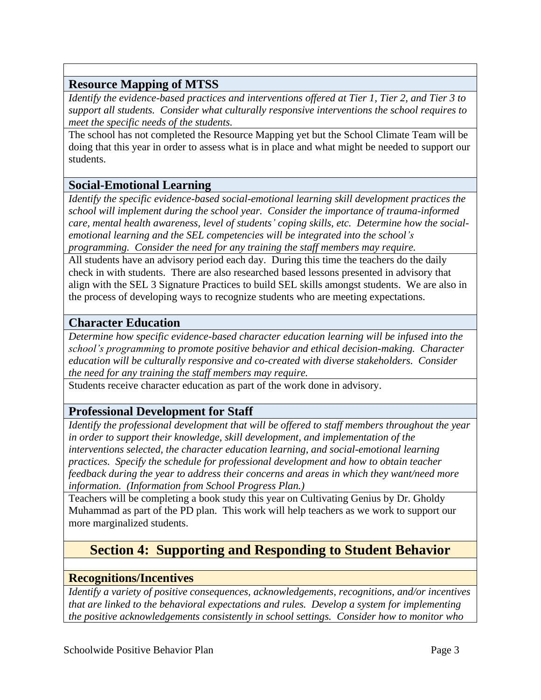## **Resource Mapping of MTSS**

*Identify the evidence-based practices and interventions offered at Tier 1, Tier 2, and Tier 3 to support all students. Consider what culturally responsive interventions the school requires to meet the specific needs of the students.* 

The school has not completed the Resource Mapping yet but the School Climate Team will be doing that this year in order to assess what is in place and what might be needed to support our students.

## **Social-Emotional Learning**

*Identify the specific evidence-based social-emotional learning skill development practices the school will implement during the school year. Consider the importance of trauma-informed care, mental health awareness, level of students' coping skills, etc. Determine how the socialemotional learning and the SEL competencies will be integrated into the school's programming. Consider the need for any training the staff members may require.*

All students have an advisory period each day. During this time the teachers do the daily check in with students. There are also researched based lessons presented in advisory that align with the SEL 3 Signature Practices to build SEL skills amongst students. We are also in the process of developing ways to recognize students who are meeting expectations.

### **Character Education**

*Determine how specific evidence-based character education learning will be infused into the school's programming to promote positive behavior and ethical decision-making. Character education will be culturally responsive and co-created with diverse stakeholders. Consider the need for any training the staff members may require.* 

Students receive character education as part of the work done in advisory.

## **Professional Development for Staff**

*Identify the professional development that will be offered to staff members throughout the year in order to support their knowledge, skill development, and implementation of the interventions selected, the character education learning, and social-emotional learning practices. Specify the schedule for professional development and how to obtain teacher feedback during the year to address their concerns and areas in which they want/need more information. (Information from School Progress Plan.)*

Teachers will be completing a book study this year on Cultivating Genius by Dr. Gholdy Muhammad as part of the PD plan. This work will help teachers as we work to support our more marginalized students.

# **Section 4: Supporting and Responding to Student Behavior**

### **Recognitions/Incentives**

*Identify a variety of positive consequences, acknowledgements, recognitions, and/or incentives that are linked to the behavioral expectations and rules. Develop a system for implementing the positive acknowledgements consistently in school settings. Consider how to monitor who*